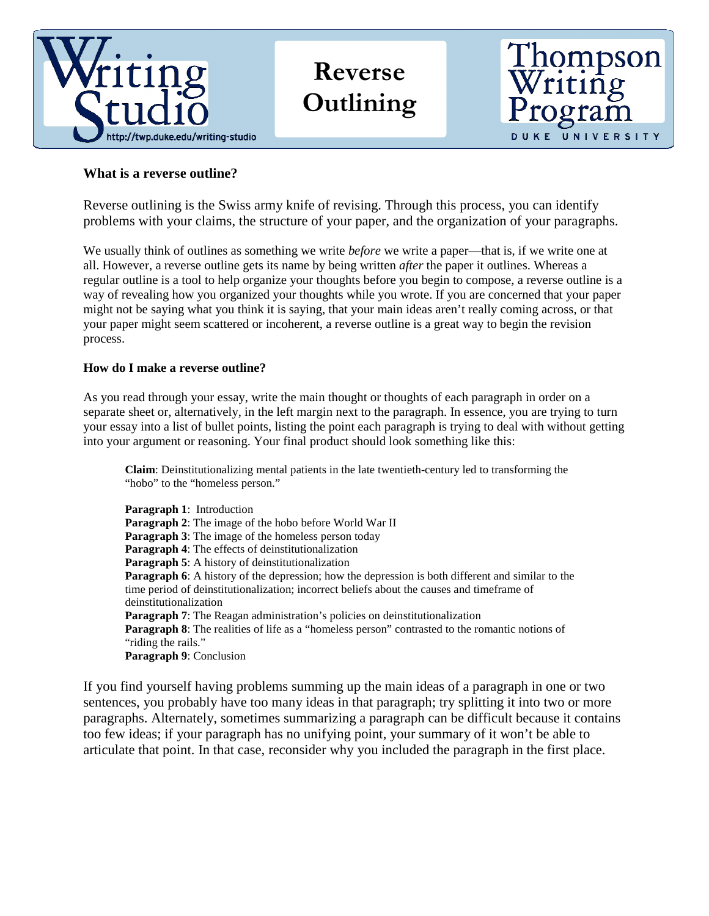

## Reverse **Outlining**



## **What is a reverse outline?**

Reverse outlining is the Swiss army knife of revising. Through this process, you can identify problems with your claims, the structure of your paper, and the organization of your paragraphs.

We usually think of outlines as something we write *before* we write a paper—that is, if we write one at all. However, a reverse outline gets its name by being written *after* the paper it outlines. Whereas a regular outline is a tool to help organize your thoughts before you begin to compose, a reverse outline is a way of revealing how you organized your thoughts while you wrote. If you are concerned that your paper might not be saying what you think it is saying, that your main ideas aren't really coming across, or that your paper might seem scattered or incoherent, a reverse outline is a great way to begin the revision process.

## **How do I make a reverse outline?**

As you read through your essay, write the main thought or thoughts of each paragraph in order on a separate sheet or, alternatively, in the left margin next to the paragraph. In essence, you are trying to turn your essay into a list of bullet points, listing the point each paragraph is trying to deal with without getting into your argument or reasoning. Your final product should look something like this:

**Claim**: Deinstitutionalizing mental patients in the late twentieth-century led to transforming the "hobo" to the "homeless person."

**Paragraph 1**: Introduction **Paragraph 2**: The image of the hobo before World War II **Paragraph 3**: The image of the homeless person today **Paragraph 4**: The effects of deinstitutionalization **Paragraph 5:** A history of deinstitutionalization **Paragraph 6**: A history of the depression; how the depression is both different and similar to the time period of deinstitutionalization; incorrect beliefs about the causes and timeframe of deinstitutionalization **Paragraph 7:** The Reagan administration's policies on deinstitutionalization **Paragraph 8**: The realities of life as a "homeless person" contrasted to the romantic notions of "riding the rails." **Paragraph 9**: Conclusion

If you find yourself having problems summing up the main ideas of a paragraph in one or two sentences, you probably have too many ideas in that paragraph; try splitting it into two or more paragraphs. Alternately, sometimes summarizing a paragraph can be difficult because it contains too few ideas; if your paragraph has no unifying point, your summary of it won't be able to articulate that point. In that case, reconsider why you included the paragraph in the first place.